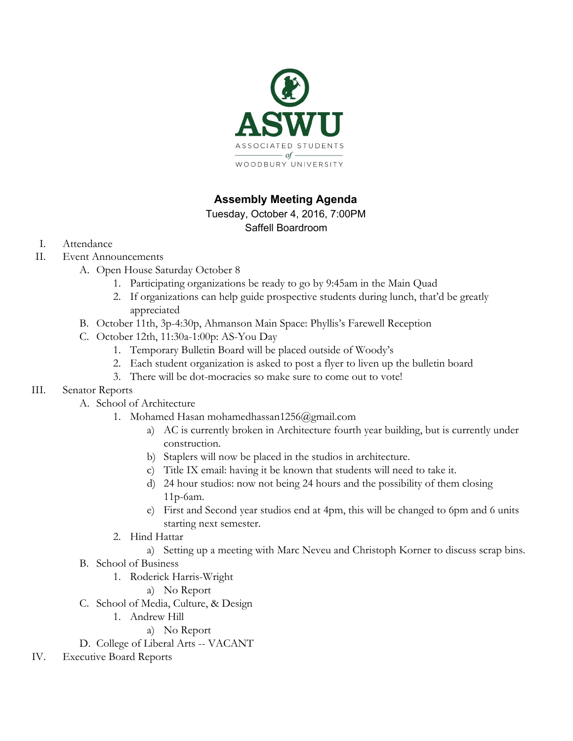

# **Assembly Meeting Agenda**

Tuesday, October 4, 2016, 7:00PM

Saffell Boardroom

- I. Attendance
- II. Event Announcements
	- A. Open House Saturday October 8
		- 1. Participating organizations be ready to go by 9:45am in the Main Quad
		- 2. If organizations can help guide prospective students during lunch, that'd be greatly appreciated
	- B. October 11th, 3p-4:30p, Ahmanson Main Space: Phyllis's Farewell Reception
	- C. October 12th, 11:30a-1:00p: AS-You Day
		- 1. Temporary Bulletin Board will be placed outside of Woody's
		- 2. Each student organization is asked to post a flyer to liven up the bulletin board
		- 3. There will be dot-mocracies so make sure to come out to vote!
- III. Senator Reports
	- A. School of Architecture
		- 1. Mohamed Hasan mohamedhassan1256@gmail.com
			- a) AC is currently broken in Architecture fourth year building, but is currently under construction.
			- b) Staplers will now be placed in the studios in architecture.
			- c) Title IX email: having it be known that students will need to take it.
			- d) 24 hour studios: now not being 24 hours and the possibility of them closing 11p-6am.
			- e) First and Second year studios end at 4pm, this will be changed to 6pm and 6 units starting next semester.
		- 2. Hind Hattar
			- a) Setting up a meeting with Marc Neveu and Christoph Korner to discuss scrap bins.
	- B. School of Business
		- 1. Roderick Harris-Wright
			- a) No Report
	- C. School of Media, Culture, & Design
		- 1. Andrew Hill
			- a) No Report

D. College of Liberal Arts -- VACANT

IV. Executive Board Reports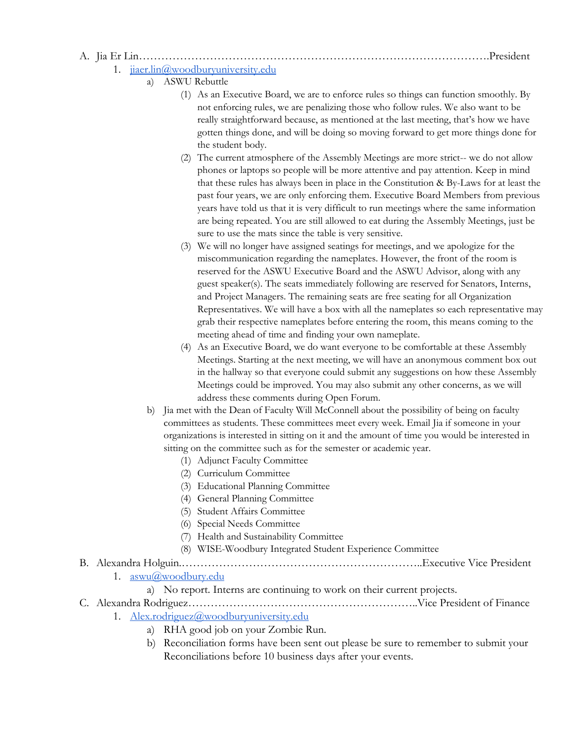A. Jia Er Lin………………………………………………………………………………….President

#### 1. [jiaer.lin@woodburyuniversity.edu](mailto:jiaer.lin@woodburyuniversity.edu)

- a) ASWU Rebuttle
	- (1) As an Executive Board, we are to enforce rules so things can function smoothly. By not enforcing rules, we are penalizing those who follow rules. We also want to be really straightforward because, as mentioned at the last meeting, that's how we have gotten things done, and will be doing so moving forward to get more things done for the student body.
	- (2) The current atmosphere of the Assembly Meetings are more strict-- we do not allow phones or laptops so people will be more attentive and pay attention. Keep in mind that these rules has always been in place in the Constitution & By-Laws for at least the past four years, we are only enforcing them. Executive Board Members from previous years have told us that it is very difficult to run meetings where the same information are being repeated. You are still allowed to eat during the Assembly Meetings, just be sure to use the mats since the table is very sensitive.
	- (3) We will no longer have assigned seatings for meetings, and we apologize for the miscommunication regarding the nameplates. However, the front of the room is reserved for the ASWU Executive Board and the ASWU Advisor, along with any guest speaker(s). The seats immediately following are reserved for Senators, Interns, and Project Managers. The remaining seats are free seating for all Organization Representatives. We will have a box with all the nameplates so each representative may grab their respective nameplates before entering the room, this means coming to the meeting ahead of time and finding your own nameplate.
	- (4) As an Executive Board, we do want everyone to be comfortable at these Assembly Meetings. Starting at the next meeting, we will have an anonymous comment box out in the hallway so that everyone could submit any suggestions on how these Assembly Meetings could be improved. You may also submit any other concerns, as we will address these comments during Open Forum.
	- b) Jia met with the Dean of Faculty Will McConnell about the possibility of being on faculty committees as students. These committees meet every week. Email Jia if someone in your organizations is interested in sitting on it and the amount of time you would be interested in sitting on the committee such as for the semester or academic year.
		- (1) Adjunct Faculty Committee
		- (2) Curriculum Committee
		- (3) Educational Planning Committee
		- (4) General Planning Committee
		- (5) Student Affairs Committee
		- (6) Special Needs Committee
		- (7) Health and Sustainability Committee
		- (8) WISE-Woodbury Integrated Student Experience Committee

#### B. Alexandra Holguin.………………………………………………………..Executive Vice President

- 1. [aswu@woodbury.edu](mailto:aswu@woodbury.edu)
	- a) No report. Interns are continuing to work on their current projects.
- C. Alexandra Rodriguez……………………………………………………..Vice President of Finance
	- 1. [Alex.rodriguez@woodburyuniversity.edu](mailto:Alex.rodriguez@woodburyuniversity.edu)
		- a) RHA good job on your Zombie Run.
		- b) Reconciliation forms have been sent out please be sure to remember to submit your Reconciliations before 10 business days after your events.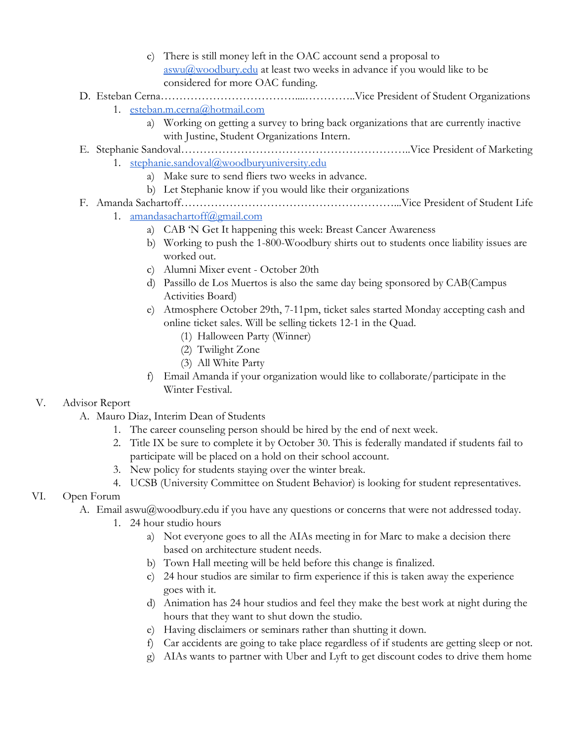c) There is still money left in the OAC account send a proposal to  $a$ swu $\omega$ woodbury.edu at least two weeks in advance if you would like to be considered for more OAC funding.

## D. Esteban Cerna………………………………....…………..Vice President of Student Organizations

- 1. [esteban.m.cerna@hotmail.com](mailto:esteban.m.cerna@hotmail.com)
	- a) Working on getting a survey to bring back organizations that are currently inactive with Justine, Student Organizations Intern.

E. Stephanie Sandoval……………………………………………………..Vice President of Marketing 1. [stephanie.sandoval@woodburyuniversity.edu](mailto:stephanie.sandoval@woodburyuniversity.edu)

- a) Make sure to send fliers two weeks in advance.
	- b) Let Stephanie know if you would like their organizations

#### F. Amanda Sachartoff…………………………………………………...Vice President of Student Life

- 1. [amandasachartoff@gmail.com](mailto:amandasachartoff@gmail.com)
	- a) CAB 'N Get It happening this week: Breast Cancer Awareness
	- b) Working to push the 1-800-Woodbury shirts out to students once liability issues are worked out.
	- c) Alumni Mixer event October 20th
	- d) Passillo de Los Muertos is also the same day being sponsored by CAB(Campus Activities Board)
	- e) Atmosphere October 29th, 7-11pm, ticket sales started Monday accepting cash and online ticket sales. Will be selling tickets 12-1 in the Quad.
		- (1) Halloween Party (Winner)
		- (2) Twilight Zone
		- (3) All White Party
	- f) Email Amanda if your organization would like to collaborate/participate in the Winter Festival.

## V. Advisor Report

- A. Mauro Diaz, Interim Dean of Students
	- 1. The career counseling person should be hired by the end of next week.
	- 2. Title IX be sure to complete it by October 30. This is federally mandated if students fail to participate will be placed on a hold on their school account.
	- 3. New policy for students staying over the winter break.
	- 4. UCSB (University Committee on Student Behavior) is looking for student representatives.

## VI. Open Forum

- A. Email [aswu@woodbury.edu](mailto:aswu@woodbury.edu) if you have any questions or concerns that were not addressed today.
	- 1. 24 hour studio hours
		- a) Not everyone goes to all the AIAs meeting in for Marc to make a decision there based on architecture student needs.
		- b) Town Hall meeting will be held before this change is finalized.
		- c) 24 hour studios are similar to firm experience if this is taken away the experience goes with it.
		- d) Animation has 24 hour studios and feel they make the best work at night during the hours that they want to shut down the studio.
		- e) Having disclaimers or seminars rather than shutting it down.
		- f) Car accidents are going to take place regardless of if students are getting sleep or not.
		- g) AIAs wants to partner with Uber and Lyft to get discount codes to drive them home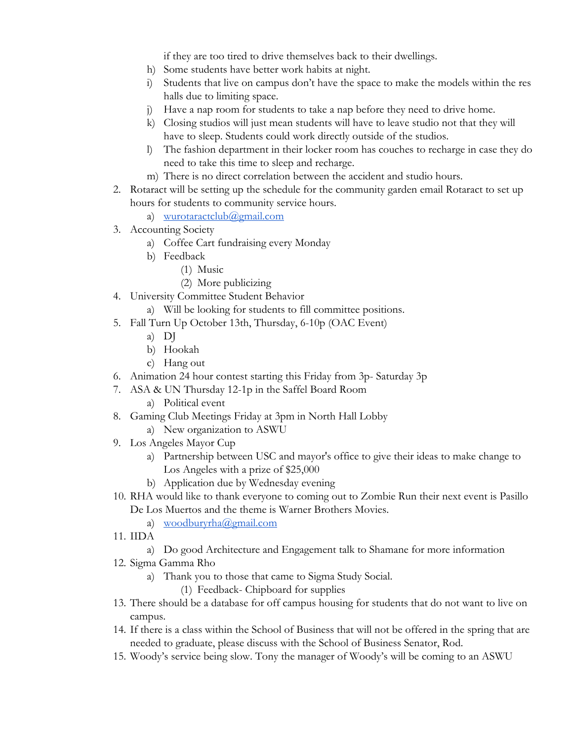if they are too tired to drive themselves back to their dwellings.

- h) Some students have better work habits at night.
- i) Students that live on campus don't have the space to make the models within the res halls due to limiting space.
- j) Have a nap room for students to take a nap before they need to drive home.
- k) Closing studios will just mean students will have to leave studio not that they will have to sleep. Students could work directly outside of the studios.
- l) The fashion department in their locker room has couches to recharge in case they do need to take this time to sleep and recharge.
- m) There is no direct correlation between the accident and studio hours.
- 2. Rotaract will be setting up the schedule for the community garden email Rotaract to set up hours for students to community service hours.

a) [wurotaractclub@gmail.com](mailto:wurotaractclub@gmail.com)

- 3. Accounting Society
	- a) Coffee Cart fundraising every Monday
	- b) Feedback
		- (1) Music
		- (2) More publicizing
- 4. University Committee Student Behavior
	- a) Will be looking for students to fill committee positions.
- 5. Fall Turn Up October 13th, Thursday, 6-10p (OAC Event)
	- a) DJ
	- b) Hookah
	- c) Hang out
- 6. Animation 24 hour contest starting this Friday from 3p- Saturday 3p
- 7. ASA & UN Thursday 12-1p in the Saffel Board Room
	- a) Political event
- 8. Gaming Club Meetings Friday at 3pm in North Hall Lobby
	- a) New organization to ASWU
- 9. Los Angeles Mayor Cup
	- a) Partnership between USC and mayor's office to give their ideas to make change to Los Angeles with a prize of \$25,000
	- b) Application due by Wednesday evening
- 10. RHA would like to thank everyone to coming out to Zombie Run their next event is Pasillo De Los Muertos and the theme is Warner Brothers Movies.
	- a) [woodburyrha@gmail.com](mailto:woodburyrha@gmail.com)
- 11. IIDA
	- a) Do good Architecture and Engagement talk to Shamane for more information
- 12. Sigma Gamma Rho
	- a) Thank you to those that came to Sigma Study Social.
		- (1) Feedback- Chipboard for supplies
- 13. There should be a database for off campus housing for students that do not want to live on campus.
- 14. If there is a class within the School of Business that will not be offered in the spring that are needed to graduate, please discuss with the School of Business Senator, Rod.
- 15. Woody's service being slow. Tony the manager of Woody's will be coming to an ASWU